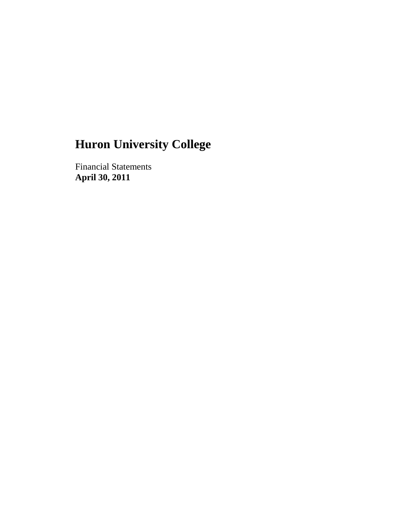Financial Statements **April 30, 2011**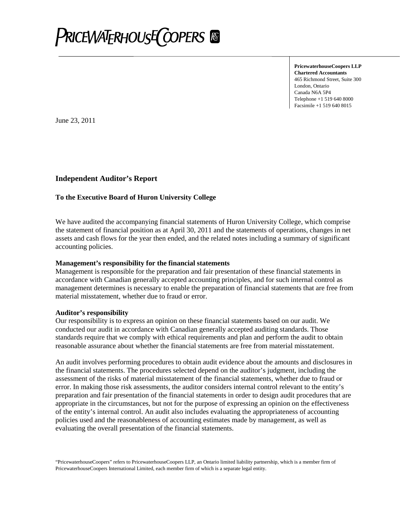

**PricewaterhouseCoopers LLP Chartered Accountants** 465 Richmond Street, Suite 300 London, Ontario Canada N6A 5P4 Telephone +1 519 640 8000 Facsimile +1 519 640 8015

June 23, 2011

#### **Independent Auditor's Report**

#### **To the Executive Board of Huron University College**

We have audited the accompanying financial statements of Huron University College, which comprise the statement of financial position as at April 30, 2011 and the statements of operations, changes in net assets and cash flows for the year then ended, and the related notes including a summary of significant accounting policies.

#### **Management's responsibility for the financial statements**

Management is responsible for the preparation and fair presentation of these financial statements in accordance with Canadian generally accepted accounting principles, and for such internal control as management determines is necessary to enable the preparation of financial statements that are free from material misstatement, whether due to fraud or error.

#### **Auditor's responsibility**

Our responsibility is to express an opinion on these financial statements based on our audit. We conducted our audit in accordance with Canadian generally accepted auditing standards. Those standards require that we comply with ethical requirements and plan and perform the audit to obtain reasonable assurance about whether the financial statements are free from material misstatement.

An audit involves performing procedures to obtain audit evidence about the amounts and disclosures in the financial statements. The procedures selected depend on the auditor's judgment, including the assessment of the risks of material misstatement of the financial statements, whether due to fraud or error. In making those risk assessments, the auditor considers internal control relevant to the entity's preparation and fair presentation of the financial statements in order to design audit procedures that are appropriate in the circumstances, but not for the purpose of expressing an opinion on the effectiveness of the entity's internal control. An audit also includes evaluating the appropriateness of accounting policies used and the reasonableness of accounting estimates made by management, as well as evaluating the overall presentation of the financial statements.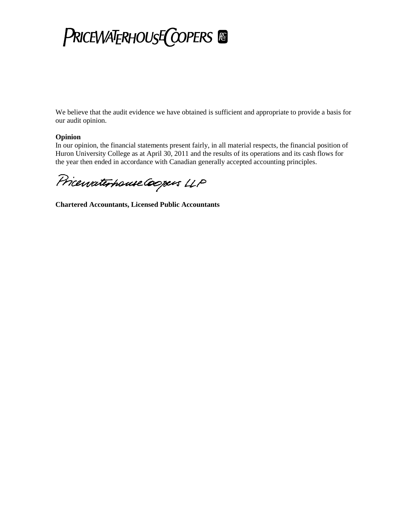# **PRICEWATERHOUSE COPERS**

We believe that the audit evidence we have obtained is sufficient and appropriate to provide a basis for our audit opinion.

#### **Opinion**

In our opinion, the financial statements present fairly, in all material respects, the financial position of Huron University College as at April 30, 2011 and the results of its operations and its cash flows for the year then ended in accordance with Canadian generally accepted accounting principles.

Pricewaterhouse Coopers LLP

**Chartered Accountants, Licensed Public Accountants**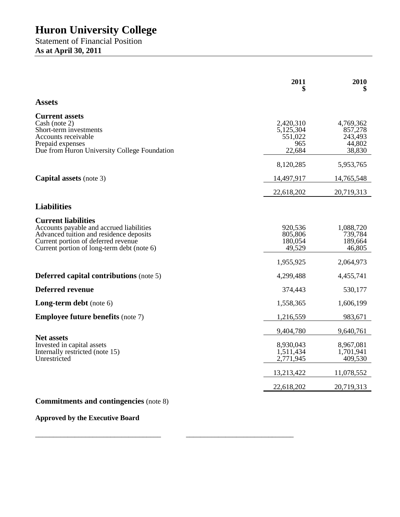Statement of Financial Position **As at April 30, 2011**

|                                                                                                                                                                                                        | 2011                                                 | 2010                                                   |
|--------------------------------------------------------------------------------------------------------------------------------------------------------------------------------------------------------|------------------------------------------------------|--------------------------------------------------------|
| <b>Assets</b>                                                                                                                                                                                          |                                                      |                                                        |
| <b>Current assets</b><br>Cash (note 2)<br>Short-term investments<br>Accounts receivable<br>Prepaid expenses<br>Due from Huron University College Foundation                                            | 2,420,310<br>5,125,304<br>551.022<br>965<br>22,684   | 4,769,362<br>857,278<br>243,493<br>44,802<br>38,830    |
|                                                                                                                                                                                                        | 8,120,285                                            | 5,953,765                                              |
| <b>Capital assets</b> (note 3)                                                                                                                                                                         | 14,497,917                                           | 14,765,548                                             |
|                                                                                                                                                                                                        | 22,618,202                                           | 20,719,313                                             |
| <b>Liabilities</b>                                                                                                                                                                                     |                                                      |                                                        |
| <b>Current liabilities</b><br>Accounts payable and accrued liabilities<br>Advanced tuition and residence deposits<br>Current portion of deferred revenue<br>Current portion of long-term debt (note 6) | 920,536<br>805,806<br>180,054<br>49,529<br>1,955,925 | 1,088,720<br>739,784<br>189,664<br>46,805<br>2,064,973 |
| <b>Deferred capital contributions (note 5)</b>                                                                                                                                                         | 4,299,488                                            | 4,455,741                                              |
| <b>Deferred revenue</b>                                                                                                                                                                                | 374,443                                              | 530,177                                                |
| <b>Long-term debt</b> (note 6)                                                                                                                                                                         | 1,558,365                                            | 1,606,199                                              |
| <b>Employee future benefits (note 7)</b>                                                                                                                                                               | 1,216,559                                            | 983,671                                                |
|                                                                                                                                                                                                        | 9,404,780                                            | 9,640,761                                              |
| <b>Net assets</b><br>Invested in capital assets<br>Internally restricted (note 15)<br>Unrestricted                                                                                                     | 8,930,043<br>1,511,434<br>2,771,945                  | 8,967,081<br>1,701,941<br>409,530                      |
|                                                                                                                                                                                                        | 13,213,422                                           | 11,078,552                                             |
|                                                                                                                                                                                                        | 22,618,202                                           | 20,719,313                                             |
| <b>Commitments and contingencies</b> (note 8)                                                                                                                                                          |                                                      |                                                        |

\_\_\_\_\_\_\_\_\_\_\_\_\_\_\_\_\_\_\_\_\_\_\_\_\_\_\_\_\_\_\_\_\_\_\_ \_\_\_\_\_\_\_\_\_\_\_\_\_\_\_\_\_\_\_\_\_\_\_\_\_\_\_\_\_\_

**Approved by the Executive Board**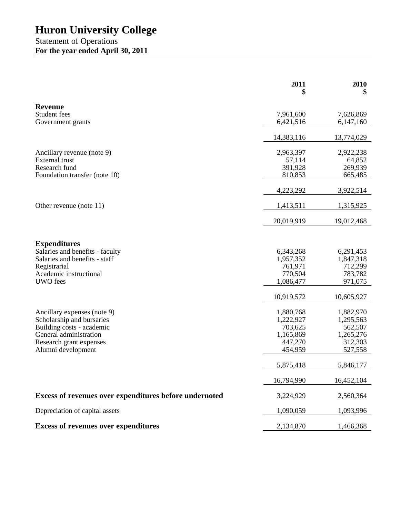#### Statement of Operations **For the year ended April 30, 2011**

|                                                          | 2011<br>\$           | 2010<br>\$         |
|----------------------------------------------------------|----------------------|--------------------|
| <b>Revenue</b>                                           |                      |                    |
| Student fees                                             | 7,961,600            | 7,626,869          |
| Government grants                                        | 6,421,516            | 6,147,160          |
|                                                          | 14,383,116           | 13,774,029         |
| Ancillary revenue (note 9)                               | 2,963,397            | 2,922,238          |
| <b>External</b> trust                                    | 57,114               | 64,852             |
| Research fund                                            | 391,928              | 269,939            |
| Foundation transfer (note 10)                            | 810,853              | 665,485            |
|                                                          | 4,223,292            | 3,922,514          |
| Other revenue (note 11)                                  | 1,413,511            | 1,315,925          |
|                                                          | 20,019,919           | 19,012,468         |
|                                                          |                      |                    |
| <b>Expenditures</b>                                      |                      |                    |
| Salaries and benefits - faculty                          | 6,343,268            | 6,291,453          |
| Salaries and benefits - staff                            | 1,957,352            | 1,847,318          |
| Registrarial<br>Academic instructional                   | 761,971              | 712,299            |
| <b>UWO</b> fees                                          | 770,504<br>1,086,477 | 783,782<br>971,075 |
|                                                          |                      |                    |
|                                                          | 10,919,572           | 10,605,927         |
|                                                          | 1,880,768            | 1,882,970          |
| Ancillary expenses (note 9)<br>Scholarship and bursaries | 1,222,927            | 1,295,563          |
| Building costs - academic                                | 703,625              | 562,507            |
| General administration                                   | 1,165,869            | 1,265,276          |
| Research grant expenses                                  | 447,270              | 312,303            |
| Alumni development                                       | 454,959              | 527,558            |
|                                                          | 5,875,418            | 5,846,177          |
|                                                          | 16,794,990           | 16,452,104         |
| Excess of revenues over expenditures before undernoted   | 3,224,929            | 2,560,364          |
| Depreciation of capital assets                           | 1,090,059            | 1,093,996          |
| <b>Excess of revenues over expenditures</b>              | 2,134,870            | 1,466,368          |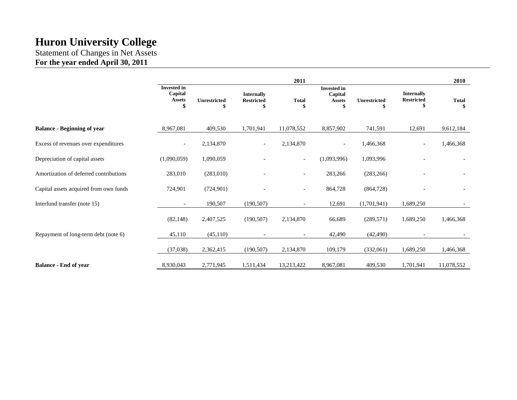Statement of Changes in Net Assets **For the year ended April 30, 2011**

|                                        |                                                      |                           |                                              | 2011                     |                                                      |                           |                                              | 2010               |
|----------------------------------------|------------------------------------------------------|---------------------------|----------------------------------------------|--------------------------|------------------------------------------------------|---------------------------|----------------------------------------------|--------------------|
|                                        | <b>Invested in</b><br>Capital<br><b>Assets</b><br>\$ | <b>Unrestricted</b><br>\$ | <b>Internally</b><br><b>Restricted</b><br>\$ | <b>Total</b><br>\$       | <b>Invested</b> in<br>Capital<br><b>Assets</b><br>\$ | <b>Unrestricted</b><br>\$ | <b>Internally</b><br><b>Restricted</b><br>\$ | <b>Total</b><br>\$ |
| <b>Balance - Beginning of year</b>     | 8,967,081                                            | 409,530                   | 1,701,941                                    | 11,078,552               | 8,857,902                                            | 741,591                   | 12,691                                       | 9,612,184          |
| Excess of revenues over expenditures   |                                                      | 2,134,870                 | $\overline{\phantom{a}}$                     | 2,134,870                | $\overline{\phantom{a}}$                             | 1,466,368                 | $\qquad \qquad -$                            | 1,466,368          |
| Depreciation of capital assets         | (1,090,059)                                          | 1,090,059                 |                                              | $\overline{\phantom{a}}$ | (1,093,996)                                          | 1,093,996                 |                                              |                    |
| Amortization of deferred contributions | 283,010                                              | (283,010)                 |                                              | $\overline{\phantom{0}}$ | 283,266                                              | (283, 266)                |                                              |                    |
| Capital assets acquired from own funds | 724,901                                              | (724, 901)                |                                              | $\overline{\phantom{a}}$ | 864,728                                              | (864, 728)                |                                              |                    |
| Interfund transfer (note 15)           |                                                      | 190,507                   | (190, 507)                                   |                          | 12,691                                               | (1,701,941)               | 1,689,250                                    |                    |
|                                        | (82, 148)                                            | 2,407,525                 | (190, 507)                                   | 2,134,870                | 66,689                                               | (289, 571)                | 1,689,250                                    | 1,466,368          |
| Repayment of long-term debt (note 6)   | 45,110                                               | (45,110)                  |                                              | $\overline{\phantom{a}}$ | 42,490                                               | (42, 490)                 |                                              |                    |
|                                        | (37, 038)                                            | 2,362,415                 | (190, 507)                                   | 2,134,870                | 109,179                                              | (332,061)                 | 1,689,250                                    | 1,466,368          |
| <b>Balance - End of year</b>           | 8,930,043                                            | 2,771,945                 | 1,511,434                                    | 13,213,422               | 8,967,081                                            | 409,530                   | 1,701,941                                    | 11,078,552         |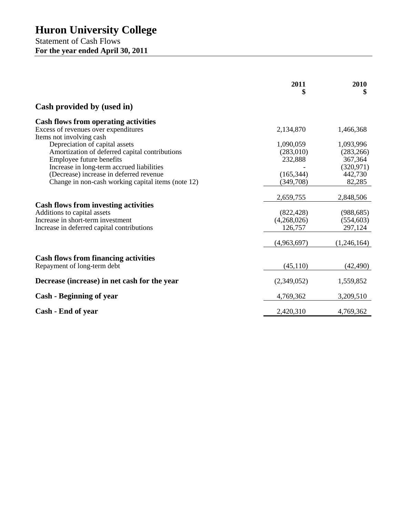Statement of Cash Flows **For the year ended April 30, 2011**

|                                                                                                                                                               | 2011<br>\$                                        | 2010<br>\$                                       |
|---------------------------------------------------------------------------------------------------------------------------------------------------------------|---------------------------------------------------|--------------------------------------------------|
| Cash provided by (used in)                                                                                                                                    |                                                   |                                                  |
| <b>Cash flows from operating activities</b><br>Excess of revenues over expenditures                                                                           | 2,134,870                                         | 1,466,368                                        |
| Items not involving cash<br>Depreciation of capital assets<br>Amortization of deferred capital contributions<br>Employee future benefits                      | 1,090,059<br>(283,010)<br>232,888                 | 1,093,996<br>(283, 266)<br>367,364               |
| Increase in long-term accrued liabilities<br>(Decrease) increase in deferred revenue<br>Change in non-cash working capital items (note 12)                    | (165, 344)<br>(349,708)                           | (320, 971)<br>442,730<br>82,285                  |
| <b>Cash flows from investing activities</b><br>Additions to capital assets<br>Increase in short-term investment<br>Increase in deferred capital contributions | 2,659,755<br>(822, 428)<br>(4,268,026)<br>126,757 | 2,848,506<br>(988, 685)<br>(554, 603)<br>297,124 |
|                                                                                                                                                               | (4,963,697)                                       | (1,246,164)                                      |
| <b>Cash flows from financing activities</b><br>Repayment of long-term debt                                                                                    | (45, 110)                                         | (42, 490)                                        |
| Decrease (increase) in net cash for the year                                                                                                                  | (2,349,052)                                       | 1,559,852                                        |
| <b>Cash - Beginning of year</b>                                                                                                                               | 4,769,362                                         | 3,209,510                                        |
| Cash - End of year                                                                                                                                            | 2,420,310                                         | 4,769,362                                        |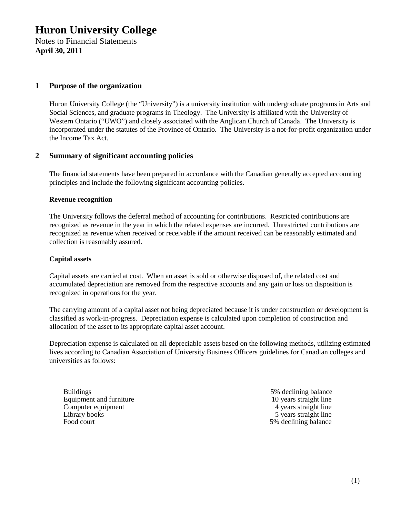#### **1 Purpose of the organization**

Huron University College (the "University") is a university institution with undergraduate programs in Arts and Social Sciences, and graduate programs in Theology. The University is affiliated with the University of Western Ontario ("UWO") and closely associated with the Anglican Church of Canada. The University is incorporated under the statutes of the Province of Ontario. The University is a not-for-profit organization under the Income Tax Act.

#### **2 Summary of significant accounting policies**

The financial statements have been prepared in accordance with the Canadian generally accepted accounting principles and include the following significant accounting policies.

#### **Revenue recognition**

The University follows the deferral method of accounting for contributions. Restricted contributions are recognized as revenue in the year in which the related expenses are incurred. Unrestricted contributions are recognized as revenue when received or receivable if the amount received can be reasonably estimated and collection is reasonably assured.

#### **Capital assets**

Capital assets are carried at cost. When an asset is sold or otherwise disposed of, the related cost and accumulated depreciation are removed from the respective accounts and any gain or loss on disposition is recognized in operations for the year.

The carrying amount of a capital asset not being depreciated because it is under construction or development is classified as work-in-progress. Depreciation expense is calculated upon completion of construction and allocation of the asset to its appropriate capital asset account.

Depreciation expense is calculated on all depreciable assets based on the following methods, utilizing estimated lives according to Canadian Association of University Business Officers guidelines for Canadian colleges and universities as follows:

Buildings 5% declining balance<br>Equipment and furniture 10 years straight line Equipment and furniture 10 years straight line<br>
Computer equipment<br>
4 years straight line Computer equipment Library books 5 years straight line Food court 5% declining balance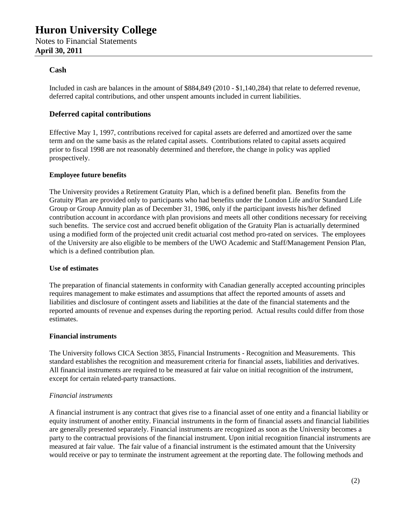#### **Cash**

Included in cash are balances in the amount of \$884,849 (2010 - \$1,140,284) that relate to deferred revenue, deferred capital contributions, and other unspent amounts included in current liabilities.

#### **Deferred capital contributions**

Effective May 1, 1997, contributions received for capital assets are deferred and amortized over the same term and on the same basis as the related capital assets. Contributions related to capital assets acquired prior to fiscal 1998 are not reasonably determined and therefore, the change in policy was applied prospectively.

#### **Employee future benefits**

The University provides a Retirement Gratuity Plan, which is a defined benefit plan. Benefits from the Gratuity Plan are provided only to participants who had benefits under the London Life and/or Standard Life Group or Group Annuity plan as of December 31, 1986, only if the participant invests his/her defined contribution account in accordance with plan provisions and meets all other conditions necessary for receiving such benefits. The service cost and accrued benefit obligation of the Gratuity Plan is actuarially determined using a modified form of the projected unit credit actuarial cost method pro-rated on services. The employees of the University are also eligible to be members of the UWO Academic and Staff/Management Pension Plan, which is a defined contribution plan.

#### **Use of estimates**

The preparation of financial statements in conformity with Canadian generally accepted accounting principles requires management to make estimates and assumptions that affect the reported amounts of assets and liabilities and disclosure of contingent assets and liabilities at the date of the financial statements and the reported amounts of revenue and expenses during the reporting period. Actual results could differ from those estimates.

#### **Financial instruments**

The University follows CICA Section 3855, Financial Instruments - Recognition and Measurements. This standard establishes the recognition and measurement criteria for financial assets, liabilities and derivatives. All financial instruments are required to be measured at fair value on initial recognition of the instrument, except for certain related-party transactions.

#### *Financial instruments*

A financial instrument is any contract that gives rise to a financial asset of one entity and a financial liability or equity instrument of another entity. Financial instruments in the form of financial assets and financial liabilities are generally presented separately. Financial instruments are recognized as soon as the University becomes a party to the contractual provisions of the financial instrument. Upon initial recognition financial instruments are measured at fair value. The fair value of a financial instrument is the estimated amount that the University would receive or pay to terminate the instrument agreement at the reporting date. The following methods and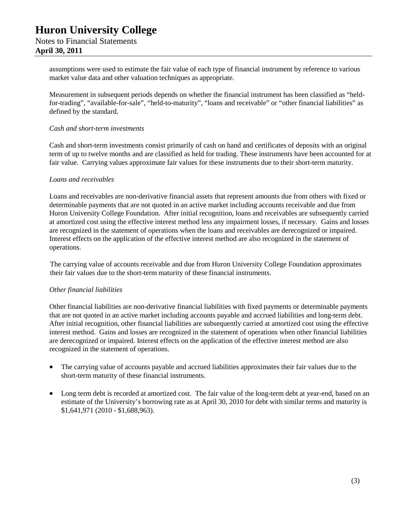assumptions were used to estimate the fair value of each type of financial instrument by reference to various market value data and other valuation techniques as appropriate.

Measurement in subsequent periods depends on whether the financial instrument has been classified as "heldfor-trading", "available-for-sale", "held-to-maturity", "loans and receivable" or "other financial liabilities" as defined by the standard.

#### *Cash and short-term investments*

Cash and short-term investments consist primarily of cash on hand and certificates of deposits with an original term of up to twelve months and are classified as held for trading. These instruments have been accounted for at fair value. Carrying values approximate fair values for these instruments due to their short-term maturity.

#### *Loans and receivables*

Loans and receivables are non-derivative financial assets that represent amounts due from others with fixed or determinable payments that are not quoted in an active market including accounts receivable and due from Huron University College Foundation. After initial recognition, loans and receivables are subsequently carried at amortized cost using the effective interest method less any impairment losses, if necessary. Gains and losses are recognized in the statement of operations when the loans and receivables are derecognized or impaired. Interest effects on the application of the effective interest method are also recognized in the statement of operations.

The carrying value of accounts receivable and due from Huron University College Foundation approximates their fair values due to the short-term maturity of these financial instruments.

#### *Other financial liabilities*

Other financial liabilities are non-derivative financial liabilities with fixed payments or determinable payments that are not quoted in an active market including accounts payable and accrued liabilities and long-term debt. After initial recognition, other financial liabilities are subsequently carried at amortized cost using the effective interest method. Gains and losses are recognized in the statement of operations when other financial liabilities are derecognized or impaired. Interest effects on the application of the effective interest method are also recognized in the statement of operations.

- The carrying value of accounts payable and accrued liabilities approximates their fair values due to the short-term maturity of these financial instruments.
- Long term debt is recorded at amortized cost. The fair value of the long-term debt at year-end, based on an estimate of the University's borrowing rate as at April 30, 2010 for debt with similar terms and maturity is \$1,641,971 (2010 - \$1,688,963).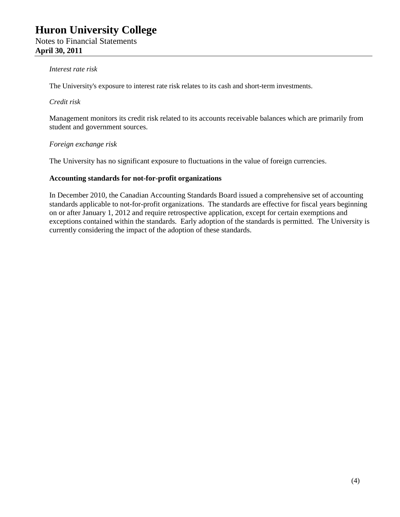#### *Interest rate risk*

The University's exposure to interest rate risk relates to its cash and short-term investments.

#### *Credit risk*

Management monitors its credit risk related to its accounts receivable balances which are primarily from student and government sources.

#### *Foreign exchange risk*

The University has no significant exposure to fluctuations in the value of foreign currencies*.*

#### **Accounting standards for not-for-profit organizations**

In December 2010, the Canadian Accounting Standards Board issued a comprehensive set of accounting standards applicable to not-for-profit organizations. The standards are effective for fiscal years beginning on or after January 1, 2012 and require retrospective application, except for certain exemptions and exceptions contained within the standards. Early adoption of the standards is permitted. The University is currently considering the impact of the adoption of these standards.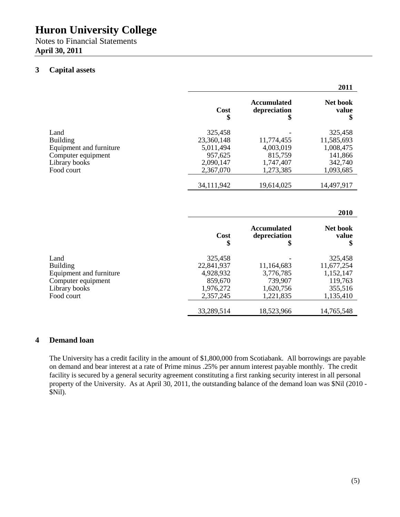Notes to Financial Statements **April 30, 2011**

#### **3 Capital assets**

|                         |                   |                                          | 2011                    |
|-------------------------|-------------------|------------------------------------------|-------------------------|
|                         | Cost<br>\$        | <b>Accumulated</b><br>depreciation<br>\$ | Net book<br>value<br>\$ |
| Land                    | 325,458           |                                          | 325,458                 |
| <b>Building</b>         | 23,360,148        | 11,774,455                               | 11,585,693              |
| Equipment and furniture | 5,011,494         | 4,003,019                                | 1,008,475               |
| Computer equipment      | 957,625           | 815,759                                  | 141,866                 |
| Library books           | 2,090,147         | 1,747,407                                | 342,740                 |
| Food court              | 2,367,070         | 1,273,385                                | 1,093,685               |
|                         | 34,111,942        | 19,614,025                               | 14,497,917              |
|                         |                   |                                          | 2010                    |
|                         | <b>Cost</b><br>\$ | <b>Accumulated</b><br>depreciation<br>\$ | Net book<br>value<br>\$ |
| Land                    | 325,458           |                                          | 325,458                 |
| <b>Building</b>         | 22,841,937        | 11,164,683                               | 11,677,254              |
| Equipment and furniture | 4,928,932         | 3,776,785                                | 1,152,147               |
| Computer equipment      | 859,670           | 739,907                                  | 119,763                 |
| Library books           | 1,976,272         | 1,620,756                                | 355,516                 |
| Food court              | 2,357,245         | 1,221,835                                | 1,135,410               |
|                         | 33,289,514        | 18,523,966                               | 14,765,548              |

#### **4 Demand loan**

The University has a credit facility in the amount of \$1,800,000 from Scotiabank. All borrowings are payable on demand and bear interest at a rate of Prime minus .25% per annum interest payable monthly. The credit facility is secured by a general security agreement constituting a first ranking security interest in all personal property of the University. As at April 30, 2011, the outstanding balance of the demand loan was \$Nil (2010 - \$Nil).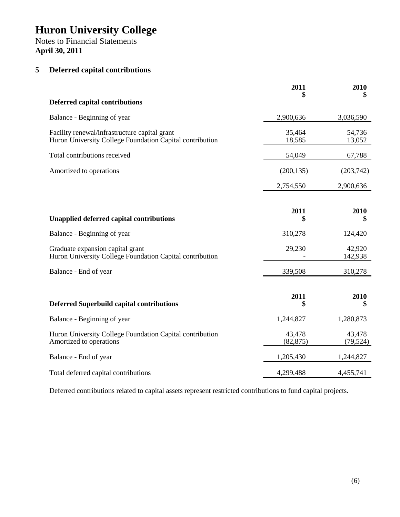Notes to Financial Statements **April 30, 2011**

#### **5 Deferred capital contributions**

|                                                                                                           | 2011<br>\$          | 2010<br>\$          |
|-----------------------------------------------------------------------------------------------------------|---------------------|---------------------|
| <b>Deferred capital contributions</b>                                                                     |                     |                     |
| Balance - Beginning of year                                                                               | 2,900,636           | 3,036,590           |
| Facility renewal/infrastructure capital grant<br>Huron University College Foundation Capital contribution | 35,464<br>18,585    | 54,736<br>13,052    |
| Total contributions received                                                                              | 54,049              | 67,788              |
| Amortized to operations                                                                                   | (200, 135)          | (203,742)           |
|                                                                                                           | 2,754,550           | 2,900,636           |
|                                                                                                           |                     |                     |
| <b>Unapplied deferred capital contributions</b>                                                           | 2011<br>\$          | 2010<br>\$          |
| Balance - Beginning of year                                                                               | 310,278             | 124,420             |
| Graduate expansion capital grant<br>Huron University College Foundation Capital contribution              | 29,230              | 42,920<br>142,938   |
| Balance - End of year                                                                                     | 339,508             | 310,278             |
| <b>Deferred Superbuild capital contributions</b>                                                          | 2011<br>\$          | 2010<br>\$          |
| Balance - Beginning of year                                                                               | 1,244,827           | 1,280,873           |
| Huron University College Foundation Capital contribution<br>Amortized to operations                       | 43,478<br>(82, 875) | 43,478<br>(79, 524) |
| Balance - End of year                                                                                     | 1,205,430           | 1,244,827           |
| Total deferred capital contributions                                                                      | 4,299,488           | 4,455,741           |

Deferred contributions related to capital assets represent restricted contributions to fund capital projects.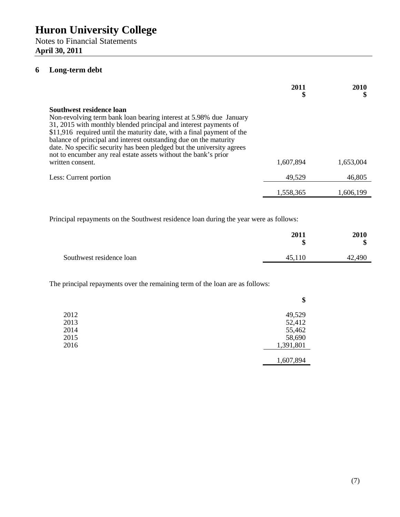Notes to Financial Statements **April 30, 2011**

#### **6 Long-term debt**

|                                                                                                                                                                                                                                                                                                                                                                                                                                                                                   | 2011<br>\$ | 2010<br>\$ |
|-----------------------------------------------------------------------------------------------------------------------------------------------------------------------------------------------------------------------------------------------------------------------------------------------------------------------------------------------------------------------------------------------------------------------------------------------------------------------------------|------------|------------|
| Southwest residence loan<br>Non-revolving term bank loan bearing interest at 5.98% due January<br>31, 2015 with monthly blended principal and interest payments of<br>\$11,916 required until the maturity date, with a final payment of the<br>balance of principal and interest outstanding due on the maturity<br>date. No specific security has been pledged but the university agrees<br>not to encumber any real estate assets without the bank's prior<br>written consent. | 1,607,894  | 1,653,004  |
| Less: Current portion                                                                                                                                                                                                                                                                                                                                                                                                                                                             | 49,529     | 46,805     |
|                                                                                                                                                                                                                                                                                                                                                                                                                                                                                   | 1,558,365  | 1,606,199  |

Principal repayments on the Southwest residence loan during the year were as follows:

|                          | 2011<br>\$ | 2010<br>Φ<br>J |
|--------------------------|------------|----------------|
| Southwest residence loan | 110<br>45  | 42,490         |

The principal repayments over the remaining term of the loan are as follows:

|      | \$        |
|------|-----------|
| 2012 | 49,529    |
| 2013 | 52,412    |
| 2014 | 55,462    |
| 2015 | 58,690    |
| 2016 | 1,391,801 |
|      |           |
|      | 1,607,894 |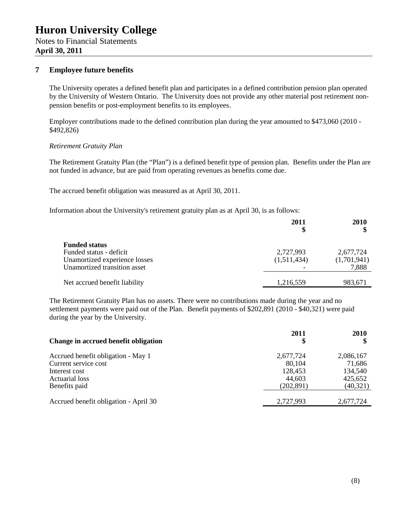Notes to Financial Statements **April 30, 2011**

#### **7 Employee future benefits**

The University operates a defined benefit plan and participates in a defined contribution pension plan operated by the University of Western Ontario. The University does not provide any other material post retirement nonpension benefits or post-employment benefits to its employees.

Employer contributions made to the defined contribution plan during the year amounted to \$473,060 (2010 - \$492,826)

#### *Retirement Gratuity Plan*

The Retirement Gratuity Plan (the "Plan") is a defined benefit type of pension plan. Benefits under the Plan are not funded in advance, but are paid from operating revenues as benefits come due.

The accrued benefit obligation was measured as at April 30, 2011.

Information about the University's retirement gratuity plan as at April 30, is as follows:

|                                                                                                                  | 2011<br>\$               | 2010                              |
|------------------------------------------------------------------------------------------------------------------|--------------------------|-----------------------------------|
| <b>Funded status</b><br>Funded status - deficit<br>Unamortized experience losses<br>Unamortized transition asset | 2,727,993<br>(1,511,434) | 2,677,724<br>(1,701,941)<br>7,888 |
| Net accrued benefit liability                                                                                    | 1,216,559                | 983,671                           |

The Retirement Gratuity Plan has no assets. There were no contributions made during the year and no settlement payments were paid out of the Plan. Benefit payments of \$202,891 (2010 - \$40,321) were paid during the year by the University.

| Change in accrued benefit obligation  | 2011<br>\$ | 2010      |
|---------------------------------------|------------|-----------|
| Accrued benefit obligation - May 1    | 2,677,724  | 2,086,167 |
| Current service cost                  | 80,104     | 71,686    |
| Interest cost                         | 128,453    | 134,540   |
| <b>Actuarial loss</b>                 | 44,603     | 425,652   |
| Benefits paid                         | (202, 891) | (40, 321) |
| Accrued benefit obligation - April 30 | 2,727,993  | 2,677,724 |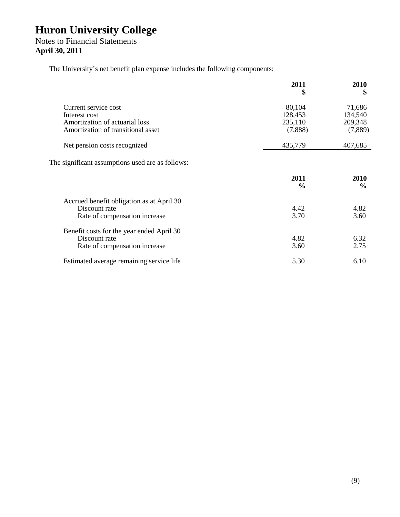The University's net benefit plan expense includes the following components:

|                                                                                             | 2011<br>\$            | 2010<br>\$            |
|---------------------------------------------------------------------------------------------|-----------------------|-----------------------|
| Current service cost                                                                        | 80,104                | 71,686                |
| Interest cost                                                                               | 128,453               | 134,540               |
| Amortization of actuarial loss                                                              | 235,110               | 209,348               |
| Amortization of transitional asset                                                          | (7,888)               | (7,889)               |
| Net pension costs recognized                                                                | 435,779               | 407,685               |
| The significant assumptions used are as follows:                                            | 2011<br>$\frac{0}{0}$ | 2010<br>$\frac{6}{6}$ |
| Accrued benefit obligation as at April 30<br>Discount rate<br>Rate of compensation increase | 4.42<br>3.70          | 4.82<br>3.60          |
| Benefit costs for the year ended April 30<br>Discount rate<br>Rate of compensation increase | 4.82<br>3.60          | 6.32<br>2.75          |
| Estimated average remaining service life                                                    | 5.30                  | 6.10                  |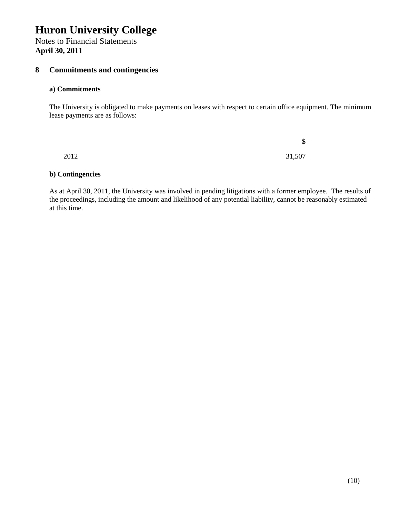**April 30, 2011**

#### **8 Commitments and contingencies**

#### **a) Commitments**

The University is obligated to make payments on leases with respect to certain office equipment. The minimum lease payments are as follows:

|      |  | ¢<br>۰D |
|------|--|---------|
| 2012 |  | 31,507  |

#### **b) Contingencies**

As at April 30, 2011, the University was involved in pending litigations with a former employee. The results of the proceedings, including the amount and likelihood of any potential liability, cannot be reasonably estimated at this time.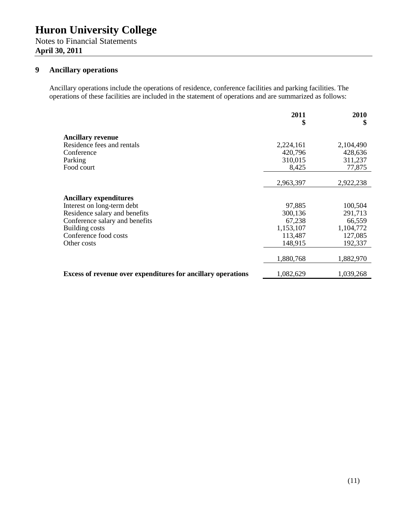Notes to Financial Statements **April 30, 2011**

#### **9 Ancillary operations**

Ancillary operations include the operations of residence, conference facilities and parking facilities. The operations of these facilities are included in the statement of operations and are summarized as follows:

|                                                                     | 2011<br>\$         | 2010<br>\$         |
|---------------------------------------------------------------------|--------------------|--------------------|
| <b>Ancillary revenue</b>                                            |                    |                    |
| Residence fees and rentals                                          | 2,224,161          | 2,104,490          |
| Conference<br>Parking                                               | 420,796<br>310,015 | 428,636<br>311,237 |
| Food court                                                          | 8,425              | 77,875             |
|                                                                     |                    |                    |
|                                                                     | 2,963,397          | 2,922,238          |
| <b>Ancillary expenditures</b>                                       |                    |                    |
| Interest on long-term debt                                          | 97,885             | 100,504            |
| Residence salary and benefits                                       | 300,136            | 291,713            |
| Conference salary and benefits                                      | 67,238             | 66,559             |
| <b>Building costs</b>                                               | 1,153,107          | 1,104,772          |
| Conference food costs                                               | 113,487            | 127,085            |
| Other costs                                                         | 148,915            | 192,337            |
|                                                                     | 1,880,768          | 1,882,970          |
| <b>Excess of revenue over expenditures for ancillary operations</b> | 1,082,629          | 1,039,268          |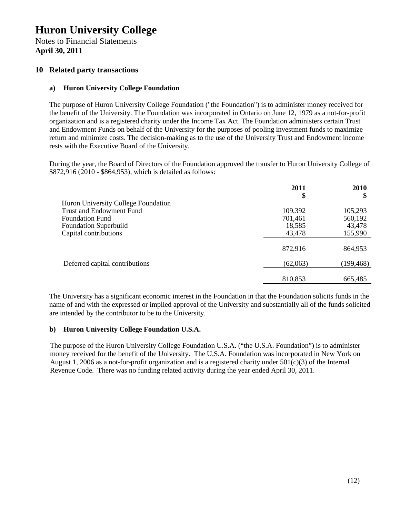Notes to Financial Statements **April 30, 2011**

#### **10 Related party transactions**

#### **a) Huron University College Foundation**

The purpose of Huron University College Foundation ("the Foundation") is to administer money received for the benefit of the University. The Foundation was incorporated in Ontario on June 12, 1979 as a not-for-profit organization and is a registered charity under the Income Tax Act. The Foundation administers certain Trust and Endowment Funds on behalf of the University for the purposes of pooling investment funds to maximize return and minimize costs. The decision-making as to the use of the University Trust and Endowment income rests with the Executive Board of the University.

During the year, the Board of Directors of the Foundation approved the transfer to Huron University College of \$872,916 (2010 - \$864,953), which is detailed as follows:

|                                     | 2011<br>\$ | <b>2010</b><br>\$ |
|-------------------------------------|------------|-------------------|
| Huron University College Foundation |            |                   |
| <b>Trust and Endowment Fund</b>     | 109,392    | 105,293           |
| <b>Foundation Fund</b>              | 701,461    | 560,192           |
| <b>Foundation Superbuild</b>        | 18,585     | 43,478            |
| Capital contributions               | 43,478     | 155,990           |
|                                     | 872,916    | 864,953           |
| Deferred capital contributions      | (62,063)   | (199, 468)        |
|                                     | 810,853    | 665,485           |

The University has a significant economic interest in the Foundation in that the Foundation solicits funds in the name of and with the expressed or implied approval of the University and substantially all of the funds solicited are intended by the contributor to be to the University.

#### **b) Huron University College Foundation U.S.A.**

The purpose of the Huron University College Foundation U.S.A. ("the U.S.A. Foundation") is to administer money received for the benefit of the University. The U.S.A. Foundation was incorporated in New York on August 1, 2006 as a not-for-profit organization and is a registered charity under  $501(c)(3)$  of the Internal Revenue Code. There was no funding related activity during the year ended April 30, 2011.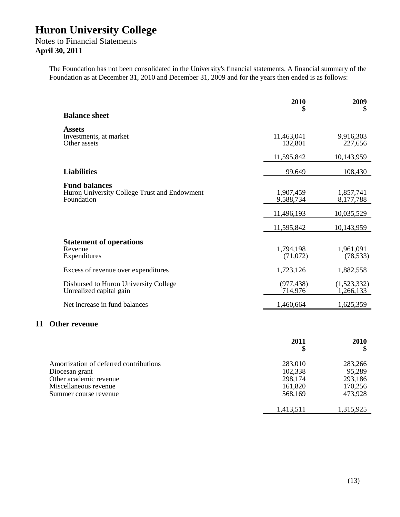Notes to Financial Statements **April 30, 2011**

> The Foundation has not been consolidated in the University's financial statements. A financial summary of the Foundation as at December 31, 2010 and December 31, 2009 and for the years then ended is as follows:

|    |                                                                                                                                      | 2010                                                | 2009<br>\$                                         |
|----|--------------------------------------------------------------------------------------------------------------------------------------|-----------------------------------------------------|----------------------------------------------------|
|    | <b>Balance sheet</b>                                                                                                                 |                                                     |                                                    |
|    | <b>Assets</b><br>Investments, at market<br>Other assets                                                                              | 11,463,041<br>132,801                               | 9,916,303<br>227,656                               |
|    |                                                                                                                                      | 11,595,842                                          | 10,143,959                                         |
|    | <b>Liabilities</b>                                                                                                                   | 99,649                                              | 108,430                                            |
|    | <b>Fund balances</b><br>Huron University College Trust and Endowment<br>Foundation                                                   | 1,907,459<br>9,588,734                              | 1,857,741<br>8,177,788                             |
|    |                                                                                                                                      | 11,496,193                                          | 10,035,529                                         |
|    |                                                                                                                                      | 11,595,842                                          | 10,143,959                                         |
|    | <b>Statement of operations</b><br>Revenue<br>Expenditures                                                                            | 1,794,198<br>(71, 072)                              | 1,961,091<br>(78, 533)                             |
|    | Excess of revenue over expenditures                                                                                                  | 1,723,126                                           | 1,882,558                                          |
|    | Disbursed to Huron University College<br>Unrealized capital gain                                                                     | (977, 438)<br>714,976                               | (1,523,332)<br>1,266,133                           |
|    | Net increase in fund balances                                                                                                        | 1,460,664                                           | 1,625,359                                          |
| 11 | <b>Other revenue</b>                                                                                                                 |                                                     |                                                    |
|    |                                                                                                                                      | 2011<br>\$                                          | 2010<br>\$                                         |
|    | Amortization of deferred contributions<br>Diocesan grant<br>Other academic revenue<br>Miscellaneous revenue<br>Summer course revenue | 283,010<br>102,338<br>298,174<br>161,820<br>568,169 | 283,266<br>95,289<br>293,186<br>170,256<br>473,928 |
|    |                                                                                                                                      | 1,413,511                                           | 1,315,925                                          |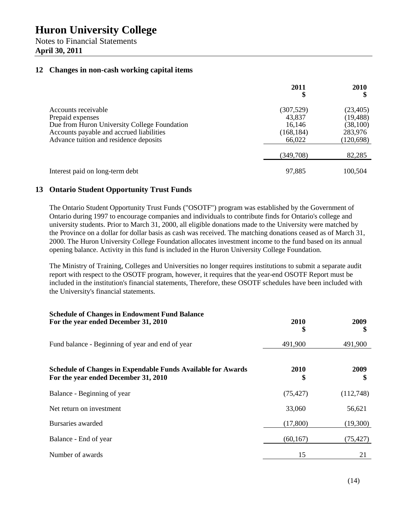Notes to Financial Statements **April 30, 2011**

#### **12 Changes in non-cash working capital items**

|                                                                                                                                                                               | 2011<br>\$                                             | <b>2010</b>                                                  |
|-------------------------------------------------------------------------------------------------------------------------------------------------------------------------------|--------------------------------------------------------|--------------------------------------------------------------|
| Accounts receivable<br>Prepaid expenses<br>Due from Huron University College Foundation<br>Accounts payable and accrued liabilities<br>Advance tuition and residence deposits | (307, 529)<br>43,837<br>16,146<br>(168, 184)<br>66,022 | (23, 405)<br>(19, 488)<br>(38, 100)<br>283,976<br>(120, 698) |
|                                                                                                                                                                               | (349,708)                                              | 82,285                                                       |
| Interest paid on long-term debt                                                                                                                                               | 97,885                                                 | 100,504                                                      |

#### **13 Ontario Student Opportunity Trust Funds**

The Ontario Student Opportunity Trust Funds ("OSOTF") program was established by the Government of Ontario during 1997 to encourage companies and individuals to contribute finds for Ontario's college and university students. Prior to March 31, 2000, all eligible donations made to the University were matched by the Province on a dollar for dollar basis as cash was received. The matching donations ceased as of March 31, 2000. The Huron University College Foundation allocates investment income to the fund based on its annual opening balance. Activity in this fund is included in the Huron University College Foundation.

The Ministry of Training, Colleges and Universities no longer requires institutions to submit a separate audit report with respect to the OSOTF program, however, it requires that the year-end OSOTF Report must be included in the institution's financial statements, Therefore, these OSOTF schedules have been included with the University's financial statements.

| <b>Schedule of Changes in Endowment Fund Balance</b><br>For the year ended December 31, 2010                | 2010<br>\$ | 2009<br>\$ |
|-------------------------------------------------------------------------------------------------------------|------------|------------|
| Fund balance - Beginning of year and end of year                                                            | 491,900    | 491,900    |
| <b>Schedule of Changes in Expendable Funds Available for Awards</b><br>For the year ended December 31, 2010 | 2010<br>\$ | 2009<br>\$ |
| Balance - Beginning of year                                                                                 | (75, 427)  | (112,748)  |
| Net return on investment                                                                                    | 33,060     | 56,621     |
| Bursaries awarded                                                                                           | (17,800)   | (19,300)   |
| Balance - End of year                                                                                       | (60, 167)  | (75, 427)  |
| Number of awards                                                                                            | 15         | 21         |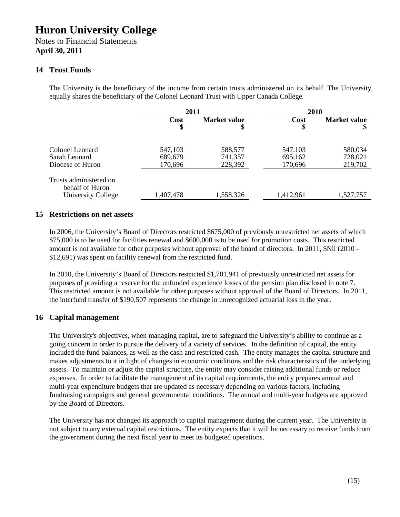Notes to Financial Statements **April 30, 2011**

#### **14 Trust Funds**

The University is the beneficiary of the income from certain trusts administered on its behalf. The University equally shares the beneficiary of the Colonel Leonard Trust with Upper Canada College.

|                                                                 | 2011                          |                               | <b>2010</b>                   |                               |
|-----------------------------------------------------------------|-------------------------------|-------------------------------|-------------------------------|-------------------------------|
|                                                                 | Cost<br>\$                    | Market value<br>\$            | Cost<br>\$                    | <b>Market value</b>           |
| Colonel Leonard<br>Sarah Leonard<br>Diocese of Huron            | 547,103<br>689,679<br>170,696 | 588,577<br>741,357<br>228,392 | 547,103<br>695,162<br>170,696 | 580,034<br>728,021<br>219,702 |
| Trusts administered on<br>behalf of Huron<br>University College | 1,407,478                     | 1,558,326                     | 1,412,961                     | 1,527,757                     |

#### **15 Restrictions on net assets**

In 2006, the University's Board of Directors restricted \$675,000 of previously unrestricted net assets of which \$75,000 is to be used for facilities renewal and \$600,000 is to be used for promotion costs. This restricted amount is not available for other purposes without approval of the board of directors. In 2011, \$Nil (2010 - \$12,691) was spent on facility renewal from the restricted fund.

In 2010, the University's Board of Directors restricted \$1,701,941 of previously unrestricted net assets for purposes of providing a reserve for the unfunded experience losses of the pension plan disclosed in note 7. This restricted amount is not available for other purposes without approval of the Board of Directors. In 2011, the interfund transfer of \$190,507 represents the change in unrecognized actuarial loss in the year.

#### **16 Capital management**

The University's objectives, when managing capital, are to safeguard the University's ability to continue as a going concern in order to pursue the delivery of a variety of services. In the definition of capital, the entity included the fund balances, as well as the cash and restricted cash. The entity manages the capital structure and makes adjustments to it in light of changes in economic conditions and the risk characteristics of the underlying assets. To maintain or adjust the capital structure, the entity may consider raising additional funds or reduce expenses. In order to facilitate the management of its capital requirements, the entity prepares annual and multi-year expenditure budgets that are updated as necessary depending on various factors, including fundraising campaigns and general governmental conditions. The annual and multi-year budgets are approved by the Board of Directors.

The University has not changed its approach to capital management during the current year. The University is not subject to any external capital restrictions. The entity expects that it will be necessary to receive funds from the government during the next fiscal year to meet its budgeted operations.